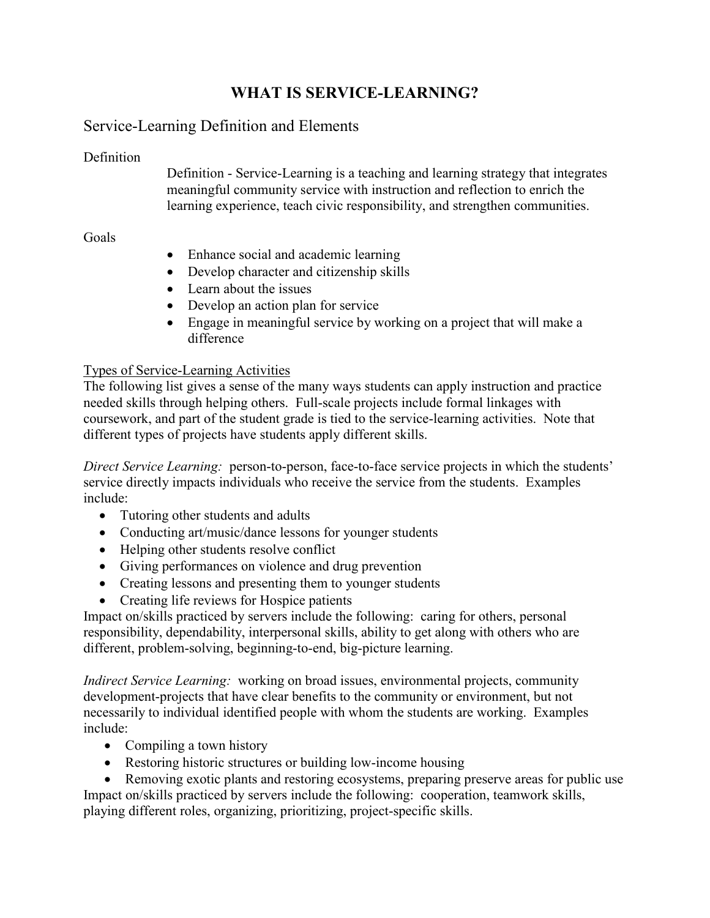# **WHAT IS SERVICE-LEARNING?**

## Service-Learning Definition and Elements

#### **Definition**

Definition - Service-Learning is a teaching and learning strategy that integrates meaningful community service with instruction and reflection to enrich the learning experience, teach civic responsibility, and strengthen communities.

#### Goals

- Enhance social and academic learning
- Develop character and citizenship skills
- Learn about the issues
- Develop an action plan for service
- Engage in meaningful service by working on a project that will make a difference

### Types of Service-Learning Activities

The following list gives a sense of the many ways students can apply instruction and practice needed skills through helping others. Full-scale projects include formal linkages with coursework, and part of the student grade is tied to the service-learning activities. Note that different types of projects have students apply different skills.

*Direct Service Learning:* person-to-person, face-to-face service projects in which the students' service directly impacts individuals who receive the service from the students. Examples include:

- Tutoring other students and adults
- Conducting art/music/dance lessons for younger students
- Helping other students resolve conflict
- Giving performances on violence and drug prevention
- Creating lessons and presenting them to younger students
- Creating life reviews for Hospice patients

Impact on/skills practiced by servers include the following: caring for others, personal responsibility, dependability, interpersonal skills, ability to get along with others who are different, problem-solving, beginning-to-end, big-picture learning.

*Indirect Service Learning:* working on broad issues, environmental projects, community development-projects that have clear benefits to the community or environment, but not necessarily to individual identified people with whom the students are working. Examples include:

- Compiling a town history
- Restoring historic structures or building low-income housing

• Removing exotic plants and restoring ecosystems, preparing preserve areas for public use Impact on/skills practiced by servers include the following: cooperation, teamwork skills, playing different roles, organizing, prioritizing, project-specific skills.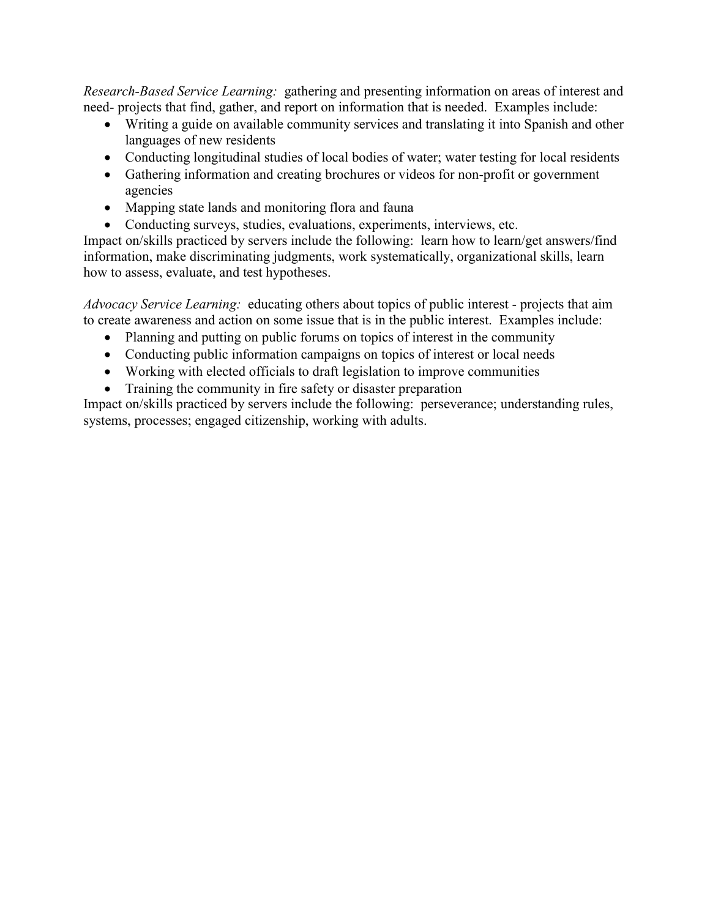*Research-Based Service Learning:* gathering and presenting information on areas of interest and need- projects that find, gather, and report on information that is needed. Examples include:

- Writing a guide on available community services and translating it into Spanish and other languages of new residents
- Conducting longitudinal studies of local bodies of water; water testing for local residents
- Gathering information and creating brochures or videos for non-profit or government agencies
- Mapping state lands and monitoring flora and fauna
- Conducting surveys, studies, evaluations, experiments, interviews, etc.

Impact on/skills practiced by servers include the following: learn how to learn/get answers/find information, make discriminating judgments, work systematically, organizational skills, learn how to assess, evaluate, and test hypotheses.

*Advocacy Service Learning:* educating others about topics of public interest - projects that aim to create awareness and action on some issue that is in the public interest. Examples include:

- Planning and putting on public forums on topics of interest in the community
- Conducting public information campaigns on topics of interest or local needs
- Working with elected officials to draft legislation to improve communities
- Training the community in fire safety or disaster preparation

Impact on/skills practiced by servers include the following: perseverance; understanding rules, systems, processes; engaged citizenship, working with adults.